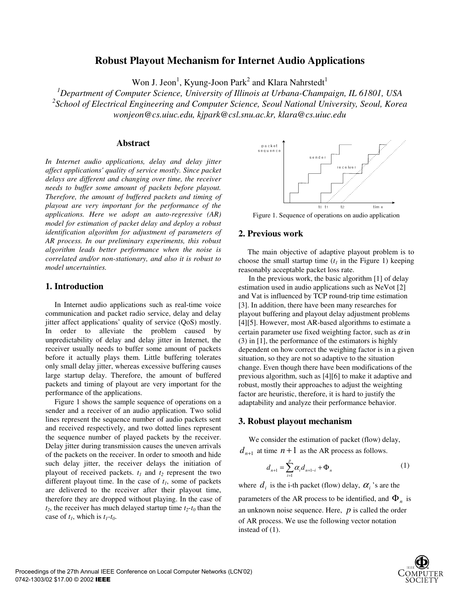# **Robust Playout Mechanism for Internet Audio Applications**

Won J. Jeon<sup>1</sup>, Kyung-Joon Park<sup>2</sup> and Klara Nahrstedt<sup>1</sup>

*1 Department of Computer Science, University of Illinois at Urbana-Champaign, IL 61801, USA 2 School of Electrical Engineering and Computer Science, Seoul National University, Seoul, Korea wonjeon@cs.uiuc.edu, kjpark@csl.snu.ac.kr, klara@cs.uiuc.edu*

### **Abstract**

*In Internet audio applications, delay and delay jitter affect applications' quality of service mostly. Since packet delays are different and changing over time, the receiver needs to buffer some amount of packets before playout. Therefore, the amount of buffered packets and timing of playout are very important for the performance of the applications. Here we adopt an auto-regressive (AR) model for estimation of packet delay and deploy a robust identification algorithm for adjustment of parameters of AR process. In our preliminary experiments, this robust algorithm leads better performance when the noise is correlated and/or non-stationary, and also it is robust to model uncertainties.* 

## **1. Introduction**

In Internet audio applications such as real-time voice communication and packet radio service, delay and delay jitter affect applications' quality of service (QoS) mostly. In order to alleviate the problem caused by unpredictability of delay and delay jitter in Internet, the receiver usually needs to buffer some amount of packets before it actually plays them. Little buffering tolerates only small delay jitter, whereas excessive buffering causes large startup delay. Therefore, the amount of buffered packets and timing of playout are very important for the performance of the applications.

Figure 1 shows the sample sequence of operations on a sender and a receiver of an audio application. Two solid lines represent the sequence number of audio packets sent and received respectively, and two dotted lines represent the sequence number of played packets by the receiver. Delay jitter during transmission causes the uneven arrivals of the packets on the receiver. In order to smooth and hide such delay jitter, the receiver delays the initiation of playout of received packets.  $t_1$  and  $t_2$  represent the two different playout time. In the case of  $t_1$ , some of packets are delivered to the receiver after their playout time, therefore they are dropped without playing. In the case of  $t_2$ , the receiver has much delayed startup time  $t_2$ - $t_0$  than the case of  $t_1$ , which is  $t_1$ - $t_0$ .



 - Figure 1. Sequence of operations on audio application

### **2. Previous work**

The main objective of adaptive playout problem is to choose the small startup time  $(t_1)$  in the Figure 1) keeping reasonably acceptable packet loss rate.

In the previous work, the basic algorithm [1] of delay estimation used in audio applications such as NeVot [2] and Vat is influenced by TCP round-trip time estimation [3]. In addition, there have been many researches for playout buffering and playout delay adjustment problems [4][5]. However, most AR-based algorithms to estimate a certain parameter use fixed weighting factor, such as  $\alpha$  in (3) in [1], the performance of the estimators is highly dependent on how correct the weighing factor is in a given situation, so they are not so adaptive to the situation change. Even though there have been modifications of the previous algorithm, such as [4][6] to make it adaptive and robust, mostly their approaches to adjust the weighting factor are heuristic, therefore, it is hard to justify the adaptability and analyze their performance behavior.

### **3. Robust playout mechanism**

We consider the estimation of packet (flow) delay,  $d_{n+1}$  at time  $n+1$  as the AR process as follows.

$$
d_{n+1} = \sum_{i=1}^{p} \alpha_i d_{n+1-i} + \Phi_n
$$
 (1)

where  $d_i$  is the i-th packet (flow) delay,  $\alpha_i$  's are the parameters of the AR process to be identified, and  $\Phi_n$  is an unknown noise sequence. Here, *p* is called the order of AR process. We use the following vector notation instead of (1).